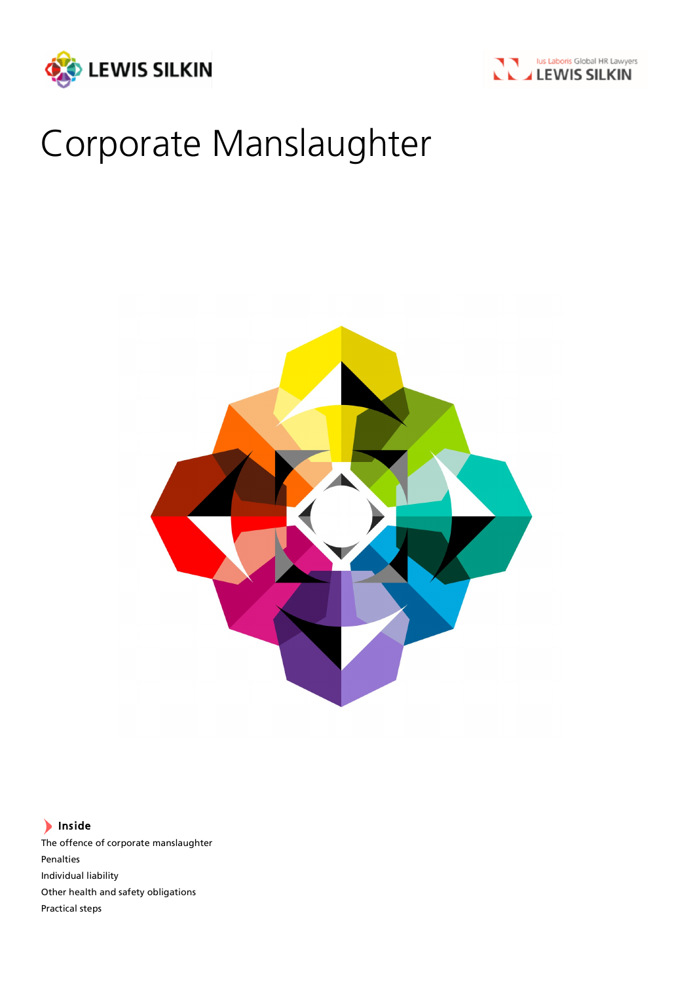



# Corporate Manslaughter



# Inside

The offence of corporate manslaughter Penalties Individual liability Other health and safety obligations Practical steps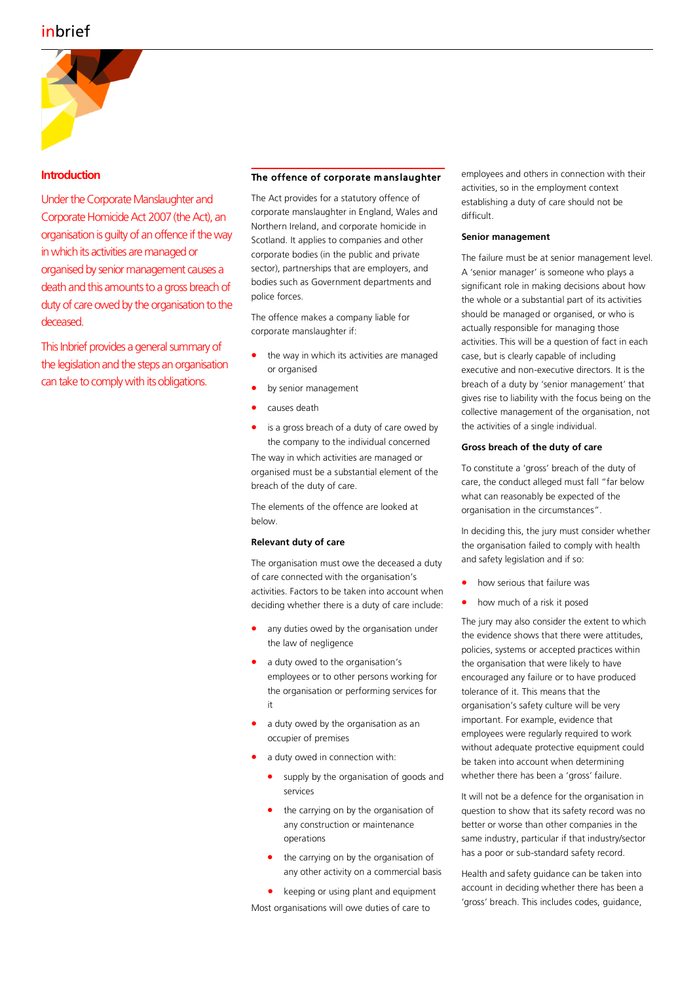

# **Introduction**

Under the Corporate Manslaughter and Corporate Homicide Act 2007 (the Act), an organisation is guilty of an offence if the way in which its activities are managed or organised by senior management causes a death and this amounts to a gross breach of duty of care owed by the organisation to the deceased.

This Inbrief provides a general summary of the legislation and the steps an organisation can take to comply with its obligations.

#### The offence of corporate manslaughter

The Act provides for a statutory offence of corporate manslaughter in England, Wales and Northern Ireland, and corporate homicide in Scotland. It applies to companies and other corporate bodies (in the public and private sector), partnerships that are employers, and bodies such as Government departments and police forces.

The offence makes a company liable for corporate manslaughter if:

- the way in which its activities are managed or organised
- by senior management
- causes death
- is a gross breach of a duty of care owed by the company to the individual concerned

The way in which activities are managed or organised must be a substantial element of the breach of the duty of care.

The elements of the offence are looked at below.

# **Relevant duty of care**

The organisation must owe the deceased a duty of care connected with the organisation's activities. Factors to be taken into account when deciding whether there is a duty of care include:

- any duties owed by the organisation under the law of negligence
- a duty owed to the organisation's employees or to other persons working for the organisation or performing services for it
- a duty owed by the organisation as an occupier of premises
- a duty owed in connection with:
	- supply by the organisation of goods and services
	- the carrying on by the organisation of any construction or maintenance operations
	- the carrying on by the organisation of any other activity on a commercial basis
	- keeping or using plant and equipment

Most organisations will owe duties of care to

employees and others in connection with their activities, so in the employment context establishing a duty of care should not be difficult.

#### **Senior management**

The failure must be at senior management level. A 'senior manager' is someone who plays a significant role in making decisions about how the whole or a substantial part of its activities should be managed or organised, or who is actually responsible for managing those activities. This will be a question of fact in each case, but is clearly capable of including executive and non-executive directors. It is the breach of a duty by 'senior management' that gives rise to liability with the focus being on the collective management of the organisation, not the activities of a single individual.

#### **Gross breach of the duty of care**

To constitute a 'gross' breach of the duty of care, the conduct alleged must fall "far below what can reasonably be expected of the organisation in the circumstances".

In deciding this, the jury must consider whether the organisation failed to comply with health and safety legislation and if so:

- how serious that failure was
- how much of a risk it posed

The jury may also consider the extent to which the evidence shows that there were attitudes, policies, systems or accepted practices within the organisation that were likely to have encouraged any failure or to have produced tolerance of it. This means that the organisation's safety culture will be very important. For example, evidence that employees were regularly required to work without adequate protective equipment could be taken into account when determining whether there has been a 'gross' failure.

It will not be a defence for the organisation in question to show that its safety record was no better or worse than other companies in the same industry, particular if that industry/sector has a poor or sub-standard safety record.

Health and safety guidance can be taken into account in deciding whether there has been a 'gross' breach. This includes codes, guidance,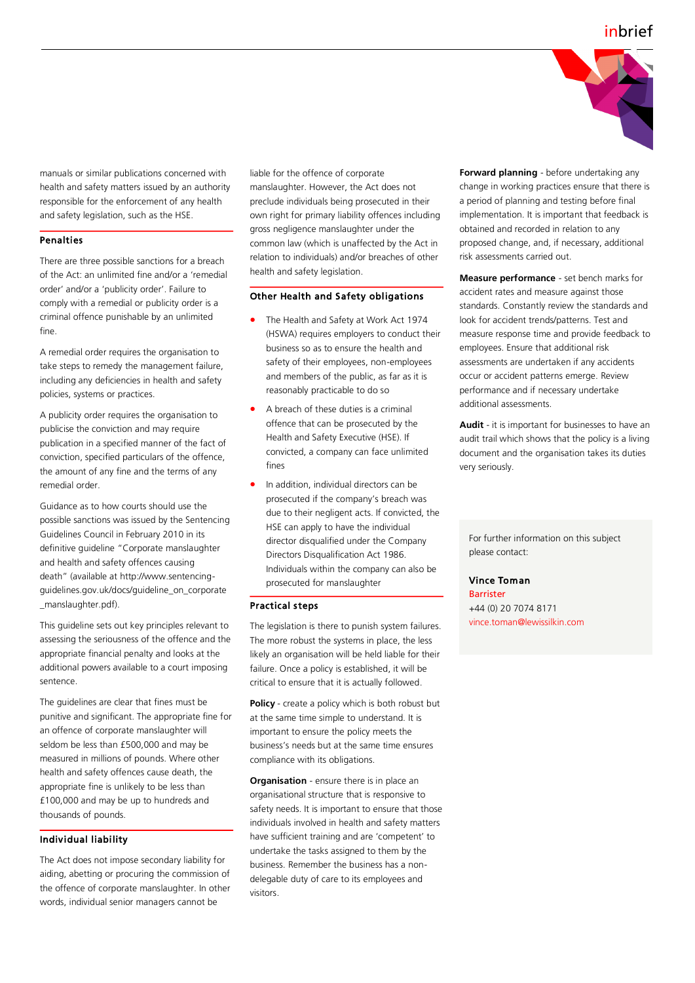

manuals or similar publications concerned with health and safety matters issued by an authority responsible for the enforcement of any health and safety legislation, such as the HSE.

#### Penalties

There are three possible sanctions for a breach of the Act: an unlimited fine and/or a 'remedial order' and/or a 'publicity order'. Failure to comply with a remedial or publicity order is a criminal offence punishable by an unlimited fine.

A remedial order requires the organisation to take steps to remedy the management failure, including any deficiencies in health and safety policies, systems or practices.

A publicity order requires the organisation to publicise the conviction and may require publication in a specified manner of the fact of conviction, specified particulars of the offence, the amount of any fine and the terms of any remedial order.

Guidance as to how courts should use the possible sanctions was issued by the Sentencing Guidelines Council in February 2010 in its definitive guideline "Corporate manslaughter and health and safety offences causing death" (available at http://www.sentencingguidelines.gov.uk/docs/guideline\_on\_corporate \_manslaughter.pdf).

This guideline sets out key principles relevant to assessing the seriousness of the offence and the appropriate financial penalty and looks at the additional powers available to a court imposing sentence.

The guidelines are clear that fines must be punitive and significant. The appropriate fine for an offence of corporate manslaughter will seldom be less than £500,000 and may be measured in millions of pounds. Where other health and safety offences cause death, the appropriate fine is unlikely to be less than £100,000 and may be up to hundreds and thousands of pounds.

# Individual liability

The Act does not impose secondary liability for aiding, abetting or procuring the commission of the offence of corporate manslaughter. In other words, individual senior managers cannot be

liable for the offence of corporate manslaughter. However, the Act does not preclude individuals being prosecuted in their own right for primary liability offences including gross negligence manslaughter under the common law (which is unaffected by the Act in relation to individuals) and/or breaches of other health and safety legislation.

# Other Health and Safety obligations

- The Health and Safety at Work Act 1974 (HSWA) requires employers to conduct their business so as to ensure the health and safety of their employees, non-employees and members of the public, as far as it is reasonably practicable to do so
- A breach of these duties is a criminal offence that can be prosecuted by the Health and Safety Executive (HSE). If convicted, a company can face unlimited fines
- In addition, individual directors can be prosecuted if the company's breach was due to their negligent acts. If convicted, the HSE can apply to have the individual director disqualified under the Company Directors Disqualification Act 1986. Individuals within the company can also be prosecuted for manslaughter

#### Practical steps

The legislation is there to punish system failures. The more robust the systems in place, the less likely an organisation will be held liable for their failure. Once a policy is established, it will be critical to ensure that it is actually followed.

**Policy** - create a policy which is both robust but at the same time simple to understand. It is important to ensure the policy meets the business's needs but at the same time ensures compliance with its obligations.

**Organisation** - ensure there is in place an organisational structure that is responsive to safety needs. It is important to ensure that those individuals involved in health and safety matters have sufficient training and are 'competent' to undertake the tasks assigned to them by the business. Remember the business has a nondelegable duty of care to its employees and visitors.

**Forward planning** - before undertaking any change in working practices ensure that there is a period of planning and testing before final implementation. It is important that feedback is obtained and recorded in relation to any proposed change, and, if necessary, additional risk assessments carried out.

**Measure performance** - set bench marks for accident rates and measure against those standards. Constantly review the standards and look for accident trends/patterns. Test and measure response time and provide feedback to employees. Ensure that additional risk assessments are undertaken if any accidents occur or accident patterns emerge. Review performance and if necessary undertake additional assessments.

**Audit** - it is important for businesses to have an audit trail which shows that the policy is a living document and the organisation takes its duties very seriously.

For further information on this subject please contact:

# Vince Toman

Barrister +44 (0) 20 7074 8171 vince.toman@lewissilkin.com